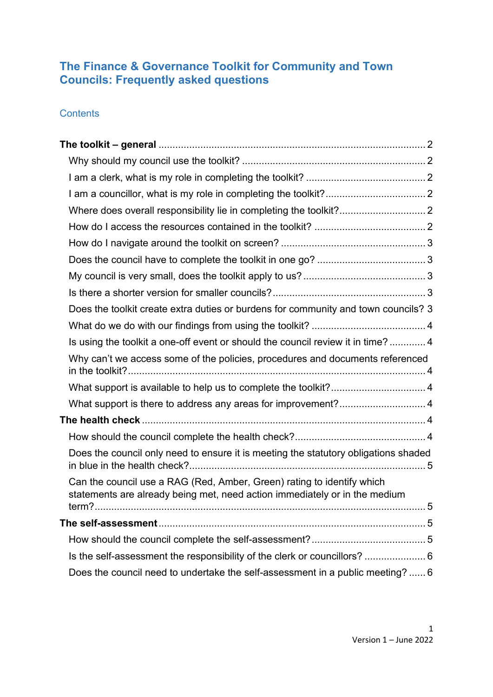# **The Finance & Governance Toolkit for Community and Town Councils: Frequently asked questions**

## **Contents**

| Does the toolkit create extra duties or burdens for community and town councils? 3                                                                                 |  |
|--------------------------------------------------------------------------------------------------------------------------------------------------------------------|--|
|                                                                                                                                                                    |  |
| Is using the toolkit a one-off event or should the council review it in time? 4                                                                                    |  |
| Why can't we access some of the policies, procedures and documents referenced                                                                                      |  |
|                                                                                                                                                                    |  |
| What support is there to address any areas for improvement? 4                                                                                                      |  |
|                                                                                                                                                                    |  |
|                                                                                                                                                                    |  |
| Does the council only need to ensure it is meeting the statutory obligations shaded                                                                                |  |
| Can the council use a RAG (Red, Amber, Green) rating to identify which<br>statements are already being met, need action immediately or in the medium<br>5<br>term? |  |
|                                                                                                                                                                    |  |
|                                                                                                                                                                    |  |
| Is the self-assessment the responsibility of the clerk or councillors?  6                                                                                          |  |
| Does the council need to undertake the self-assessment in a public meeting?  6                                                                                     |  |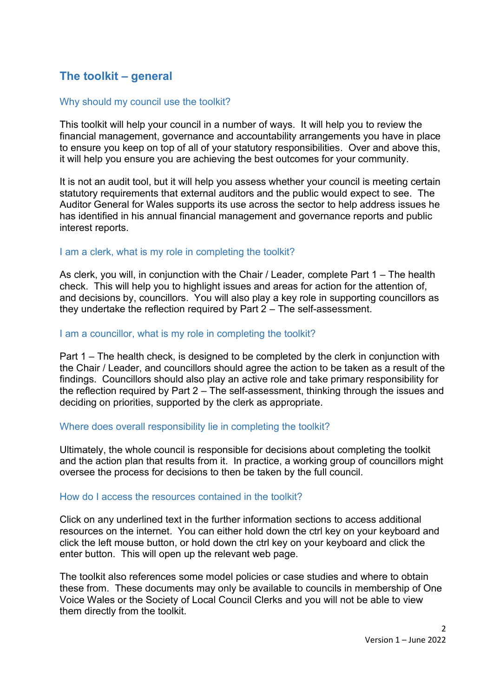# <span id="page-1-0"></span>**The toolkit – general**

## <span id="page-1-1"></span>Why should my council use the toolkit?

This toolkit will help your council in a number of ways. It will help you to review the financial management, governance and accountability arrangements you have in place to ensure you keep on top of all of your statutory responsibilities. Over and above this, it will help you ensure you are achieving the best outcomes for your community.

It is not an audit tool, but it will help you assess whether your council is meeting certain statutory requirements that external auditors and the public would expect to see. The Auditor General for Wales supports its use across the sector to help address issues he has identified in his annual financial management and governance reports and public interest reports.

## <span id="page-1-2"></span>I am a clerk, what is my role in completing the toolkit?

As clerk, you will, in conjunction with the Chair / Leader, complete Part 1 – The health check. This will help you to highlight issues and areas for action for the attention of, and decisions by, councillors. You will also play a key role in supporting councillors as they undertake the reflection required by Part 2 – The self-assessment.

## <span id="page-1-3"></span>I am a councillor, what is my role in completing the toolkit?

Part 1 – The health check, is designed to be completed by the clerk in conjunction with the Chair / Leader, and councillors should agree the action to be taken as a result of the findings. Councillors should also play an active role and take primary responsibility for the reflection required by Part 2 – The self-assessment, thinking through the issues and deciding on priorities, supported by the clerk as appropriate.

#### <span id="page-1-4"></span>Where does overall responsibility lie in completing the toolkit?

Ultimately, the whole council is responsible for decisions about completing the toolkit and the action plan that results from it. In practice, a working group of councillors might oversee the process for decisions to then be taken by the full council.

#### <span id="page-1-5"></span>How do I access the resources contained in the toolkit?

Click on any underlined text in the further information sections to access additional resources on the internet. You can either hold down the ctrl key on your keyboard and click the left mouse button, or hold down the ctrl key on your keyboard and click the enter button. This will open up the relevant web page.

The toolkit also references some model policies or case studies and where to obtain these from. These documents may only be available to councils in membership of One Voice Wales or the Society of Local Council Clerks and you will not be able to view them directly from the toolkit.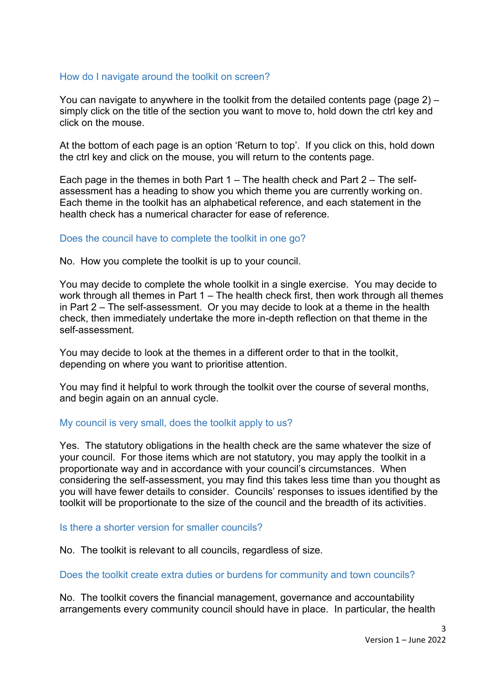## <span id="page-2-0"></span>How do I navigate around the toolkit on screen?

You can navigate to anywhere in the toolkit from the detailed contents page (page 2) – simply click on the title of the section you want to move to, hold down the ctrl key and click on the mouse.

At the bottom of each page is an option 'Return to top'. If you click on this, hold down the ctrl key and click on the mouse, you will return to the contents page.

Each page in the themes in both Part 1 – The health check and Part 2 – The selfassessment has a heading to show you which theme you are currently working on. Each theme in the toolkit has an alphabetical reference, and each statement in the health check has a numerical character for ease of reference.

## <span id="page-2-1"></span>Does the council have to complete the toolkit in one go?

No. How you complete the toolkit is up to your council.

You may decide to complete the whole toolkit in a single exercise. You may decide to work through all themes in Part 1 – The health check first, then work through all themes in Part 2 – The self-assessment. Or you may decide to look at a theme in the health check, then immediately undertake the more in-depth reflection on that theme in the self-assessment.

You may decide to look at the themes in a different order to that in the toolkit, depending on where you want to prioritise attention.

You may find it helpful to work through the toolkit over the course of several months, and begin again on an annual cycle.

## <span id="page-2-2"></span>My council is very small, does the toolkit apply to us?

Yes. The statutory obligations in the health check are the same whatever the size of your council. For those items which are not statutory, you may apply the toolkit in a proportionate way and in accordance with your council's circumstances. When considering the self-assessment, you may find this takes less time than you thought as you will have fewer details to consider. Councils' responses to issues identified by the toolkit will be proportionate to the size of the council and the breadth of its activities.

#### <span id="page-2-3"></span>Is there a shorter version for smaller councils?

No. The toolkit is relevant to all councils, regardless of size.

#### <span id="page-2-4"></span>Does the toolkit create extra duties or burdens for community and town councils?

No. The toolkit covers the financial management, governance and accountability arrangements every community council should have in place. In particular, the health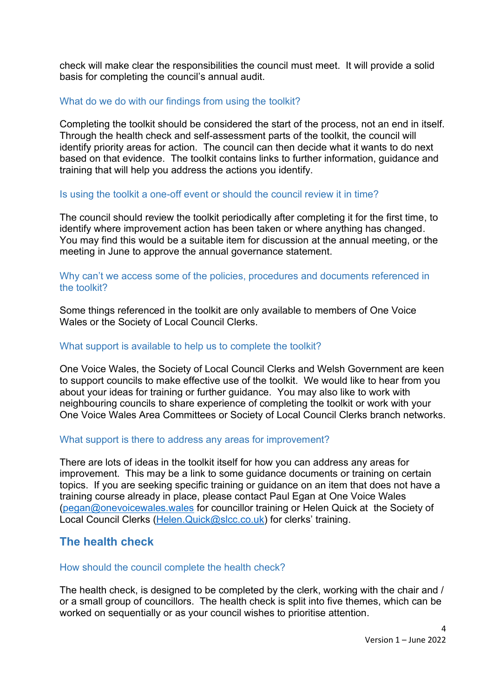check will make clear the responsibilities the council must meet. It will provide a solid basis for completing the council's annual audit.

## <span id="page-3-0"></span>What do we do with our findings from using the toolkit?

Completing the toolkit should be considered the start of the process, not an end in itself. Through the health check and self-assessment parts of the toolkit, the council will identify priority areas for action. The council can then decide what it wants to do next based on that evidence. The toolkit contains links to further information, guidance and training that will help you address the actions you identify.

## <span id="page-3-1"></span>Is using the toolkit a one-off event or should the council review it in time?

The council should review the toolkit periodically after completing it for the first time, to identify where improvement action has been taken or where anything has changed. You may find this would be a suitable item for discussion at the annual meeting, or the meeting in June to approve the annual governance statement.

## <span id="page-3-2"></span>Why can't we access some of the policies, procedures and documents referenced in the toolkit?

Some things referenced in the toolkit are only available to members of One Voice Wales or the Society of Local Council Clerks.

## <span id="page-3-3"></span>What support is available to help us to complete the toolkit?

One Voice Wales, the Society of Local Council Clerks and Welsh Government are keen to support councils to make effective use of the toolkit. We would like to hear from you about your ideas for training or further guidance. You may also like to work with neighbouring councils to share experience of completing the toolkit or work with your One Voice Wales Area Committees or Society of Local Council Clerks branch networks.

## <span id="page-3-4"></span>What support is there to address any areas for improvement?

There are lots of ideas in the toolkit itself for how you can address any areas for improvement. This may be a link to some guidance documents or training on certain topics. If you are seeking specific training or guidance on an item that does not have a training course already in place, please contact Paul Egan at One Voice Wales [\(pegan@onevoicewales.wales](mailto:pegan@onevoicewales.wales) for councillor training or Helen Quick at the Society of Local Council Clerks [\(Helen.Quick@slcc.co.uk\)](mailto:Helen.Quick@slcc.co.uk) for clerks' training.

# <span id="page-3-5"></span>**The health check**

#### <span id="page-3-6"></span>How should the council complete the health check?

The health check, is designed to be completed by the clerk, working with the chair and / or a small group of councillors. The health check is split into five themes, which can be worked on sequentially or as your council wishes to prioritise attention.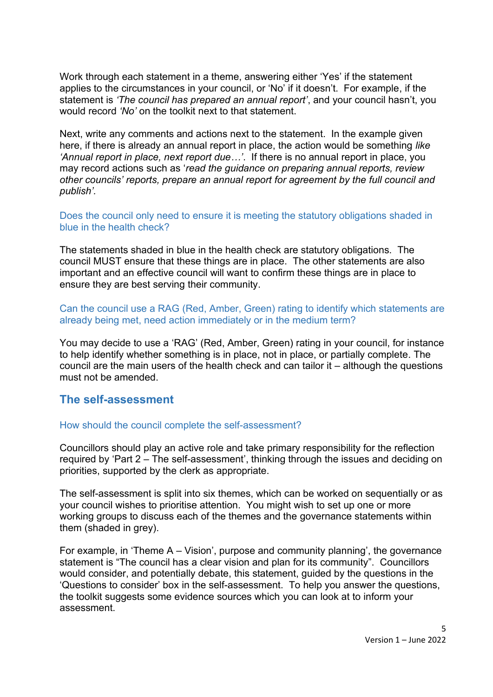Work through each statement in a theme, answering either 'Yes' if the statement applies to the circumstances in your council, or 'No' if it doesn't. For example, if the statement is *'The council has prepared an annual report'*, and your council hasn't, you would record *'No'* on the toolkit next to that statement.

Next, write any comments and actions next to the statement. In the example given here, if there is already an annual report in place, the action would be something *like 'Annual report in place, next report due…'*. If there is no annual report in place, you may record actions such as '*read the guidance on preparing annual reports, review other councils' reports, prepare an annual report for agreement by the full council and publish'.* 

<span id="page-4-0"></span>Does the council only need to ensure it is meeting the statutory obligations shaded in blue in the health check?

The statements shaded in blue in the health check are statutory obligations. The council MUST ensure that these things are in place. The other statements are also important and an effective council will want to confirm these things are in place to ensure they are best serving their community.

<span id="page-4-1"></span>Can the council use a RAG (Red, Amber, Green) rating to identify which statements are already being met, need action immediately or in the medium term?

You may decide to use a 'RAG' (Red, Amber, Green) rating in your council, for instance to help identify whether something is in place, not in place, or partially complete. The council are the main users of the health check and can tailor it – although the questions must not be amended.

# <span id="page-4-2"></span>**The self-assessment**

## <span id="page-4-3"></span>How should the council complete the self-assessment?

Councillors should play an active role and take primary responsibility for the reflection required by 'Part 2 – The self-assessment', thinking through the issues and deciding on priorities, supported by the clerk as appropriate.

The self-assessment is split into six themes, which can be worked on sequentially or as your council wishes to prioritise attention. You might wish to set up one or more working groups to discuss each of the themes and the governance statements within them (shaded in grey).

For example, in 'Theme A – Vision', purpose and community planning', the governance statement is "The council has a clear vision and plan for its community". Councillors would consider, and potentially debate, this statement, guided by the questions in the 'Questions to consider' box in the self-assessment. To help you answer the questions, the toolkit suggests some evidence sources which you can look at to inform your assessment.